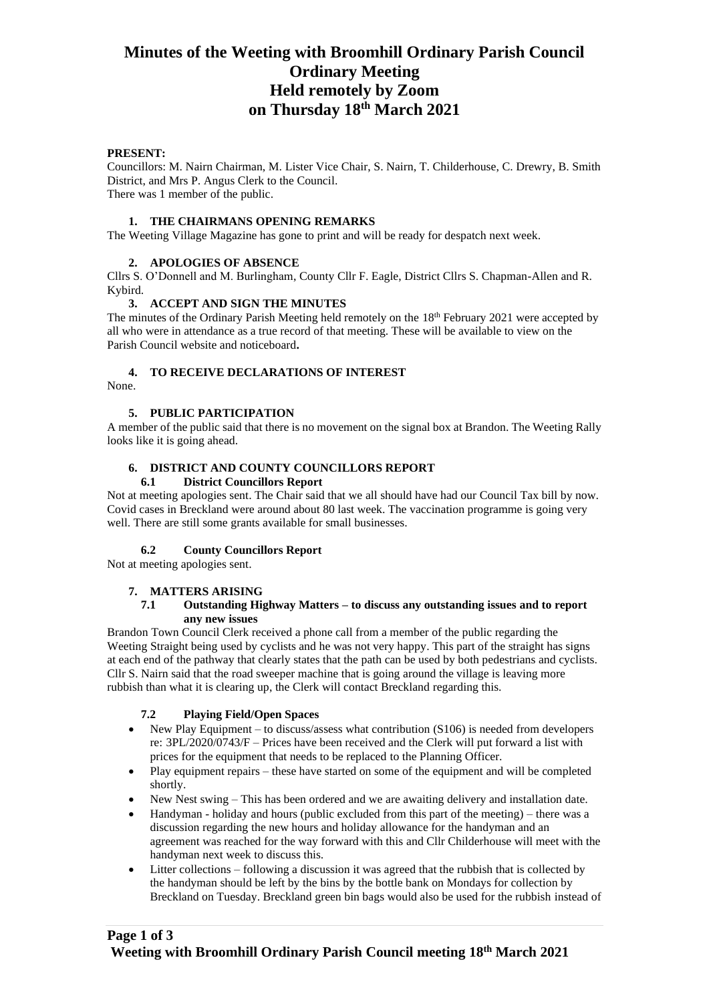#### **PRESENT:**

Councillors: M. Nairn Chairman, M. Lister Vice Chair, S. Nairn, T. Childerhouse, C. Drewry, B. Smith District, and Mrs P. Angus Clerk to the Council. There was 1 member of the public.

### **1. THE CHAIRMANS OPENING REMARKS**

The Weeting Village Magazine has gone to print and will be ready for despatch next week.

### **2. APOLOGIES OF ABSENCE**

Cllrs S. O'Donnell and M. Burlingham, County Cllr F. Eagle, District Cllrs S. Chapman-Allen and R. Kybird.

#### **3. ACCEPT AND SIGN THE MINUTES**

The minutes of the Ordinary Parish Meeting held remotely on the  $18<sup>th</sup>$  February 2021 were accepted by all who were in attendance as a true record of that meeting. These will be available to view on the Parish Council website and noticeboard**.**

### **4. TO RECEIVE DECLARATIONS OF INTEREST**

None.

### **5. PUBLIC PARTICIPATION**

A member of the public said that there is no movement on the signal box at Brandon. The Weeting Rally looks like it is going ahead.

## **6. DISTRICT AND COUNTY COUNCILLORS REPORT**

#### **6.1 District Councillors Report**

Not at meeting apologies sent. The Chair said that we all should have had our Council Tax bill by now. Covid cases in Breckland were around about 80 last week. The vaccination programme is going very well. There are still some grants available for small businesses.

## **6.2 County Councillors Report**

Not at meeting apologies sent.

#### **7. MATTERS ARISING**

#### **7.1 Outstanding Highway Matters – to discuss any outstanding issues and to report any new issues**

Brandon Town Council Clerk received a phone call from a member of the public regarding the Weeting Straight being used by cyclists and he was not very happy. This part of the straight has signs at each end of the pathway that clearly states that the path can be used by both pedestrians and cyclists. Cllr S. Nairn said that the road sweeper machine that is going around the village is leaving more rubbish than what it is clearing up, the Clerk will contact Breckland regarding this.

## **7.2 Playing Field/Open Spaces**

- New Play Equipment to discuss/assess what contribution (S106) is needed from developers re: 3PL/2020/0743/F – Prices have been received and the Clerk will put forward a list with prices for the equipment that needs to be replaced to the Planning Officer.
- Play equipment repairs these have started on some of the equipment and will be completed shortly.
- New Nest swing This has been ordered and we are awaiting delivery and installation date.
- Handyman holiday and hours (public excluded from this part of the meeting) there was a discussion regarding the new hours and holiday allowance for the handyman and an agreement was reached for the way forward with this and Cllr Childerhouse will meet with the handyman next week to discuss this.
- Litter collections following a discussion it was agreed that the rubbish that is collected by the handyman should be left by the bins by the bottle bank on Mondays for collection by Breckland on Tuesday. Breckland green bin bags would also be used for the rubbish instead of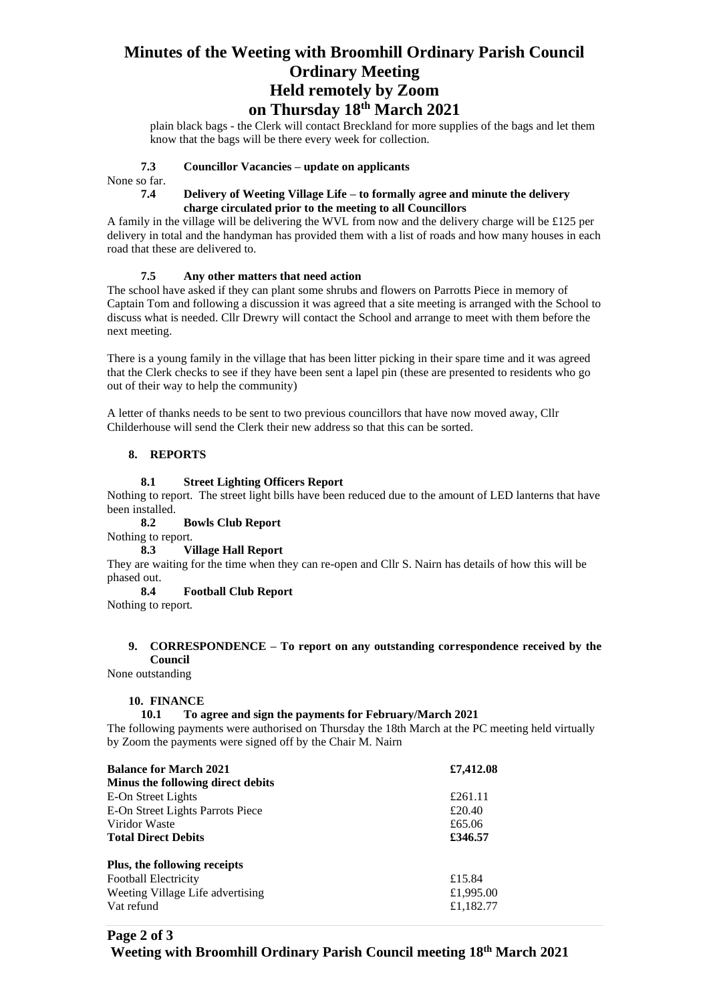plain black bags - the Clerk will contact Breckland for more supplies of the bags and let them know that the bags will be there every week for collection.

#### **7.3 Councillor Vacancies – update on applicants**

None so far.

#### **7.4 Delivery of Weeting Village Life – to formally agree and minute the delivery charge circulated prior to the meeting to all Councillors**

A family in the village will be delivering the WVL from now and the delivery charge will be £125 per delivery in total and the handyman has provided them with a list of roads and how many houses in each road that these are delivered to.

#### **7.5 Any other matters that need action**

The school have asked if they can plant some shrubs and flowers on Parrotts Piece in memory of Captain Tom and following a discussion it was agreed that a site meeting is arranged with the School to discuss what is needed. Cllr Drewry will contact the School and arrange to meet with them before the next meeting.

There is a young family in the village that has been litter picking in their spare time and it was agreed that the Clerk checks to see if they have been sent a lapel pin (these are presented to residents who go out of their way to help the community)

A letter of thanks needs to be sent to two previous councillors that have now moved away, Cllr Childerhouse will send the Clerk their new address so that this can be sorted.

#### **8. REPORTS**

#### **8.1 Street Lighting Officers Report**

Nothing to report. The street light bills have been reduced due to the amount of LED lanterns that have been installed.

## **8.2 Bowls Club Report**

Nothing to report.

#### **8.3 Village Hall Report**

They are waiting for the time when they can re-open and Cllr S. Nairn has details of how this will be phased out.

#### **8.4 Football Club Report**

Nothing to report.

#### **9. CORRESPONDENCE – To report on any outstanding correspondence received by the Council**

None outstanding

#### **10. FINANCE**

#### **10.1 To agree and sign the payments for February/March 2021**

The following payments were authorised on Thursday the 18th March at the PC meeting held virtually by Zoom the payments were signed off by the Chair M. Nairn

| <b>Balance for March 2021</b>     | £7,412.08 |
|-----------------------------------|-----------|
| Minus the following direct debits |           |
| E-On Street Lights                | £261.11   |
| E-On Street Lights Parrots Piece  | £20.40    |
| Viridor Waste                     | £65.06    |
| <b>Total Direct Debits</b>        | £346.57   |
| Plus, the following receipts      |           |
| <b>Football Electricity</b>       | £15.84    |
| Weeting Village Life advertising  | £1,995.00 |
| Vat refund                        | £1,182.77 |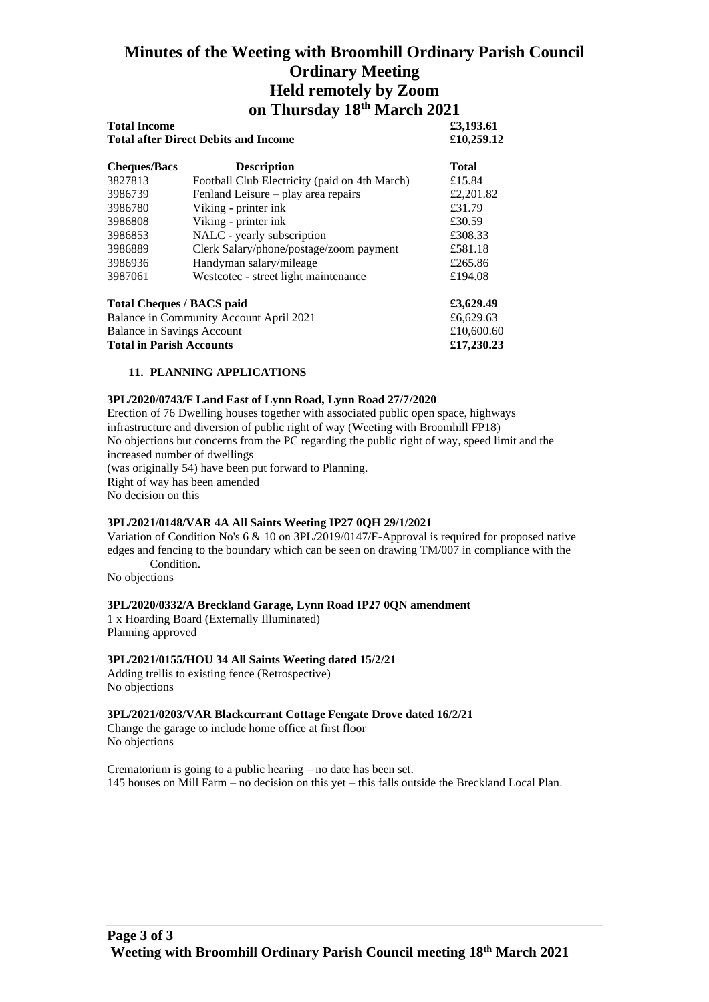| <b>Total Income</b>              |                                               | £3,193.61<br>£10,259.12 |
|----------------------------------|-----------------------------------------------|-------------------------|
|                                  | <b>Total after Direct Debits and Income</b>   |                         |
| <b>Cheques/Bacs</b>              | <b>Description</b>                            | <b>Total</b>            |
| 3827813                          | Football Club Electricity (paid on 4th March) | £15.84                  |
| 3986739                          | Fenland Leisure – play area repairs           | £2,201.82               |
| 3986780                          | Viking - printer ink                          | £31.79                  |
| 3986808                          | Viking - printer ink                          | £30.59                  |
| 3986853                          | NALC - yearly subscription                    | £308.33                 |
| 3986889                          | Clerk Salary/phone/postage/zoom payment       | £581.18                 |
| 3986936                          | Handyman salary/mileage                       | £265.86                 |
| 3987061                          | Westcotec - street light maintenance          | £194.08                 |
| <b>Total Cheques / BACS paid</b> |                                               | £3,629.49               |
|                                  | Balance in Community Account April 2021       | £6,629.63               |
| Balance in Savings Account       |                                               | £10,600.60              |

**Total in Parish Accounts £17,230.23**

### **11. PLANNING APPLICATIONS**

#### **3PL/2020/0743/F Land East of Lynn Road, Lynn Road 27/7/2020**

Erection of 76 Dwelling houses together with associated public open space, highways infrastructure and diversion of public right of way (Weeting with Broomhill FP18) No objections but concerns from the PC regarding the public right of way, speed limit and the increased number of dwellings (was originally 54) have been put forward to Planning. Right of way has been amended No decision on this

## **3PL/2021/0148/VAR 4A All Saints Weeting IP27 0QH 29/1/2021**

Variation of Condition No's 6 & 10 on 3PL/2019/0147/F-Approval is required for proposed native edges and fencing to the boundary which can be seen on drawing TM/007 in compliance with the Condition.

No objections

#### **3PL/2020/0332/A Breckland Garage, Lynn Road IP27 0QN amendment**

1 x Hoarding Board (Externally Illuminated) Planning approved

## **3PL/2021/0155/HOU 34 All Saints Weeting dated 15/2/21**

Adding trellis to existing fence (Retrospective) No objections

#### **3PL/2021/0203/VAR Blackcurrant Cottage Fengate Drove dated 16/2/21**

Change the garage to include home office at first floor No objections

Crematorium is going to a public hearing – no date has been set. 145 houses on Mill Farm – no decision on this yet – this falls outside the Breckland Local Plan.